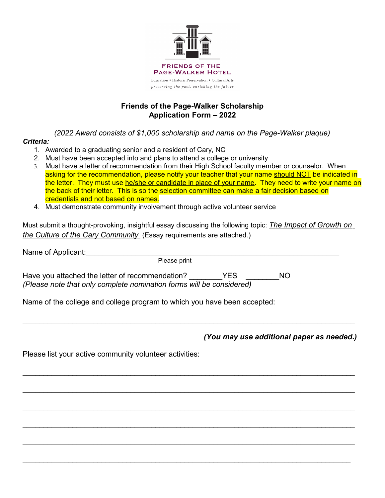

## **Friends of the Page-Walker Scholarship Application Form – 2022**

*(2022 Award consists of \$1,000 scholarship and name on the Page-Walker plaque)*

## *Criteria:*

- 1. Awarded to a graduating senior and a resident of Cary, NC
- 2. Must have been accepted into and plans to attend a college or university
- 3. Must have a letter of recommendation from their High School faculty member or counselor. When asking for the recommendation, please notify your teacher that your name should NOT be indicated in the letter. They must use he/she or candidate in place of your name. They need to write your name on the back of their letter. This is so the selection committee can make a fair decision based on credentials and not based on names.
- 4. Must demonstrate community involvement through active volunteer service

Must submit a thought-provoking, insightful essay discussing the following topic: *The Impact of Growth on the Culture of the Cary Community* (Essay requirements are attached.)

| Please print                                                         |      |     |
|----------------------------------------------------------------------|------|-----|
| Have you attached the letter of recommendation?                      | YFS. | NO. |
| (Please note that only complete nomination forms will be considered) |      |     |

 $\mathcal{L}_\mathcal{L} = \mathcal{L}_\mathcal{L} = \mathcal{L}_\mathcal{L} = \mathcal{L}_\mathcal{L} = \mathcal{L}_\mathcal{L} = \mathcal{L}_\mathcal{L} = \mathcal{L}_\mathcal{L} = \mathcal{L}_\mathcal{L} = \mathcal{L}_\mathcal{L} = \mathcal{L}_\mathcal{L} = \mathcal{L}_\mathcal{L} = \mathcal{L}_\mathcal{L} = \mathcal{L}_\mathcal{L} = \mathcal{L}_\mathcal{L} = \mathcal{L}_\mathcal{L} = \mathcal{L}_\mathcal{L} = \mathcal{L}_\mathcal{L}$ 

 $\mathcal{L}_\mathcal{L} = \mathcal{L}_\mathcal{L} = \mathcal{L}_\mathcal{L} = \mathcal{L}_\mathcal{L} = \mathcal{L}_\mathcal{L} = \mathcal{L}_\mathcal{L} = \mathcal{L}_\mathcal{L} = \mathcal{L}_\mathcal{L} = \mathcal{L}_\mathcal{L} = \mathcal{L}_\mathcal{L} = \mathcal{L}_\mathcal{L} = \mathcal{L}_\mathcal{L} = \mathcal{L}_\mathcal{L} = \mathcal{L}_\mathcal{L} = \mathcal{L}_\mathcal{L} = \mathcal{L}_\mathcal{L} = \mathcal{L}_\mathcal{L}$ 

 $\mathcal{L}_\mathcal{L} = \mathcal{L}_\mathcal{L} = \mathcal{L}_\mathcal{L} = \mathcal{L}_\mathcal{L} = \mathcal{L}_\mathcal{L} = \mathcal{L}_\mathcal{L} = \mathcal{L}_\mathcal{L} = \mathcal{L}_\mathcal{L} = \mathcal{L}_\mathcal{L} = \mathcal{L}_\mathcal{L} = \mathcal{L}_\mathcal{L} = \mathcal{L}_\mathcal{L} = \mathcal{L}_\mathcal{L} = \mathcal{L}_\mathcal{L} = \mathcal{L}_\mathcal{L} = \mathcal{L}_\mathcal{L} = \mathcal{L}_\mathcal{L}$ 

\_\_\_\_\_\_\_\_\_\_\_\_\_\_\_\_\_\_\_\_\_\_\_\_\_\_\_\_\_\_\_\_\_\_\_\_\_\_\_\_\_\_\_\_\_\_\_\_\_\_\_\_\_\_\_\_\_\_\_\_\_\_\_\_\_\_\_\_\_\_\_\_\_\_\_\_\_\_\_\_

 $\mathcal{L}_\mathcal{L} = \mathcal{L}_\mathcal{L} = \mathcal{L}_\mathcal{L} = \mathcal{L}_\mathcal{L} = \mathcal{L}_\mathcal{L} = \mathcal{L}_\mathcal{L} = \mathcal{L}_\mathcal{L} = \mathcal{L}_\mathcal{L} = \mathcal{L}_\mathcal{L} = \mathcal{L}_\mathcal{L} = \mathcal{L}_\mathcal{L} = \mathcal{L}_\mathcal{L} = \mathcal{L}_\mathcal{L} = \mathcal{L}_\mathcal{L} = \mathcal{L}_\mathcal{L} = \mathcal{L}_\mathcal{L} = \mathcal{L}_\mathcal{L}$ 

\_\_\_\_\_\_\_\_\_\_\_\_\_\_\_\_\_\_\_\_\_\_\_\_\_\_\_\_\_\_\_\_\_\_\_\_\_\_\_\_\_\_\_\_\_\_\_\_\_\_\_\_\_\_\_\_\_\_\_\_\_\_\_\_\_\_\_\_\_\_\_\_\_\_\_\_\_\_\_\_

 $\mathcal{L}_\mathcal{L} = \mathcal{L}_\mathcal{L} = \mathcal{L}_\mathcal{L} = \mathcal{L}_\mathcal{L} = \mathcal{L}_\mathcal{L} = \mathcal{L}_\mathcal{L} = \mathcal{L}_\mathcal{L} = \mathcal{L}_\mathcal{L} = \mathcal{L}_\mathcal{L} = \mathcal{L}_\mathcal{L} = \mathcal{L}_\mathcal{L} = \mathcal{L}_\mathcal{L} = \mathcal{L}_\mathcal{L} = \mathcal{L}_\mathcal{L} = \mathcal{L}_\mathcal{L} = \mathcal{L}_\mathcal{L} = \mathcal{L}_\mathcal{L}$ 

Name of the college and college program to which you have been accepted:

*(You may use additional paper as needed.)*

Please list your active community volunteer activities: